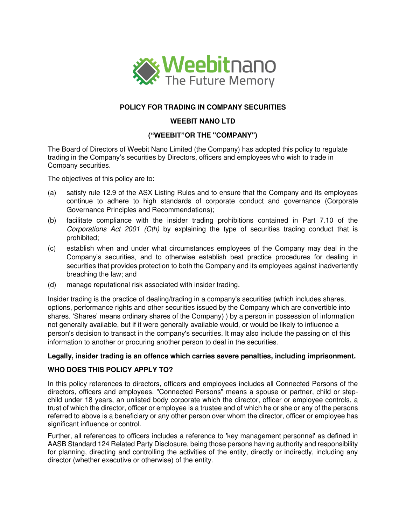

# **POLICY FOR TRADING IN COMPANY SECURITIES**

### **WEEBIT NANO LTD**

# **("WEEBIT"OR THE "COMPANY")**

The Board of Directors of Weebit Nano Limited (the Company) has adopted this policy to regulate trading in the Company's securities by Directors, officers and employees who wish to trade in Company securities.

The objectives of this policy are to:

- (a) satisfy rule 12.9 of the ASX Listing Rules and to ensure that the Company and its employees continue to adhere to high standards of corporate conduct and governance (Corporate Governance Principles and Recommendations);
- (b) facilitate compliance with the insider trading prohibitions contained in Part 7.10 of the Corporations Act 2001 (Cth) by explaining the type of securities trading conduct that is prohibited;
- (c) establish when and under what circumstances employees of the Company may deal in the Company's securities, and to otherwise establish best practice procedures for dealing in securities that provides protection to both the Company and its employees against inadvertently breaching the law; and
- (d) manage reputational risk associated with insider trading.

Insider trading is the practice of dealing/trading in a company's securities (which includes shares, options, performance rights and other securities issued by the Company which are convertible into shares. 'Shares' means ordinary shares of the Company) ) by a person in possession of information not generally available, but if it were generally available would, or would be likely to influence a person's decision to transact in the company's securities. It may also include the passing on of this information to another or procuring another person to deal in the securities.

#### **Legally, insider trading is an offence which carries severe penalties, including imprisonment.**

#### **WHO DOES THIS POLICY APPLY TO?**

In this policy references to directors, officers and employees includes all Connected Persons of the directors, officers and employees. "Connected Persons" means a spouse or partner, child or stepchild under 18 years, an unlisted body corporate which the director, officer or employee controls, a trust of which the director, officer or employee is a trustee and of which he or she or any of the persons referred to above is a beneficiary or any other person over whom the director, officer or employee has significant influence or control.

Further, all references to officers includes a reference to 'key management personnel' as defined in AASB Standard 124 Related Party Disclosure, being those persons having authority and responsibility for planning, directing and controlling the activities of the entity, directly or indirectly, including any director (whether executive or otherwise) of the entity.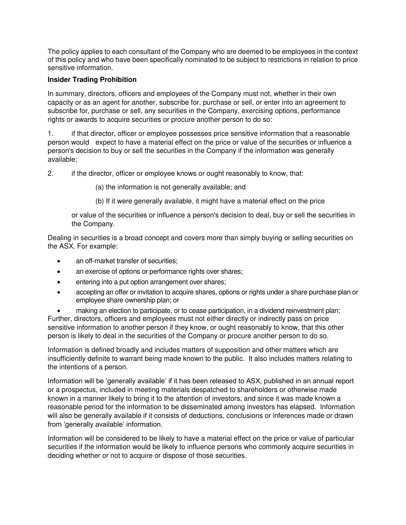The policy applies to each consultant of the Company who are deemed to be employees in the context of this policy and who have been specifically nominated to be subject to restrictions in relation to price sensitive information.

# **Insider Trading Prohibition**

In summary, directors, officers and employees of the Company must not, whether in their own capacity or as an agent for another, subscribe for, purchase or sell, or enter into an agreement to subscribe for, purchase or sell, any securities in the Company, exercising options, performance rights or awards to acquire securities or procure another person to do so:

1. if that director, officer or employee possesses price sensitive information that a reasonable person would expect to have a material effect on the price or value of the securities or influence a person's decision to buy or sell the securities in the Company if the information was generally available;

2. if the director, officer or employee knows or ought reasonably to know, that:

(a) the information is not generally available; and

(b) If it were generally available, it might have a material effect on the price

or value of the securities or influence a person's decision to deal, buy or sell the securities in the Company.

Dealing in securities is a broad concept and covers more than simply buying or selling securities on the ASX. For example:

- an off-market transfer of securities;
- an exercise of options or performance rights over shares;
- entering into a put option arrangement over shares;
- accepting an offer or invitation to acquire shares, options or rights under a share purchase plan or employee share ownership plan; or

 making an election to participate, or to cease participation, in a dividend reinvestment plan; Further, directors, officers and employees must not either directly or indirectly pass on price sensitive information to another person if they know, or ought reasonably to know, that this other person is likely to deal in the securities of the Company or procure another person to do so.

Information is defined broadly and includes matters of supposition and other matters which are insufficiently definite to warrant being made known to the public. It also includes matters relating to the intentions of a person.

Information will be 'generally available' if it has been released to ASX, published in an annual report or a prospectus, included in meeting materials despatched to shareholders or otherwise made known in a manner likely to bring it to the attention of investors, and since it was made known a reasonable period for the information to be disseminated among investors has elapsed. Information will also be generally available if it consists of deductions, conclusions or inferences made or drawn from 'generally available' information.

Information will be considered to be likely to have a material effect on the price or value of particular securities if the information would be likely to influence persons who commonly acquire securities in deciding whether or not to acquire or dispose of those securities.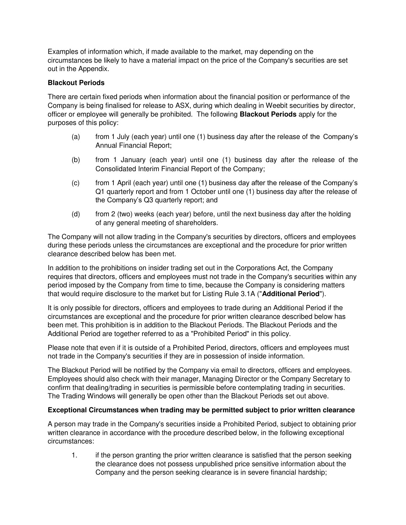Examples of information which, if made available to the market, may depending on the circumstances be likely to have a material impact on the price of the Company's securities are set out in the Appendix.

# **Blackout Periods**

There are certain fixed periods when information about the financial position or performance of the Company is being finalised for release to ASX, during which dealing in Weebit securities by director, officer or employee will generally be prohibited. The following **Blackout Periods** apply for the purposes of this policy:

- (a) from 1 July (each year) until one (1) business day after the release of the Company's Annual Financial Report;
- (b) from 1 January (each year) until one (1) business day after the release of the Consolidated Interim Financial Report of the Company;
- (c) from 1 April (each year) until one (1) business day after the release of the Company's Q1 quarterly report and from 1 October until one (1) business day after the release of the Company's Q3 quarterly report; and
- (d) from 2 (two) weeks (each year) before, until the next business day after the holding of any general meeting of shareholders.

The Company will not allow trading in the Company's securities by directors, officers and employees during these periods unless the circumstances are exceptional and the procedure for prior written clearance described below has been met.

In addition to the prohibitions on insider trading set out in the Corporations Act, the Company requires that directors, officers and employees must not trade in the Company's securities within any period imposed by the Company from time to time, because the Company is considering matters that would require disclosure to the market but for Listing Rule 3.1A ("**Additional Period**").

It is only possible for directors, officers and employees to trade during an Additional Period if the circumstances are exceptional and the procedure for prior written clearance described below has been met. This prohibition is in addition to the Blackout Periods. The Blackout Periods and the Additional Period are together referred to as a "Prohibited Period" in this policy.

Please note that even if it is outside of a Prohibited Period, directors, officers and employees must not trade in the Company's securities if they are in possession of inside information.

The Blackout Period will be notified by the Company via email to directors, officers and employees. Employees should also check with their manager, Managing Director or the Company Secretary to confirm that dealing/trading in securities is permissible before contemplating trading in securities. The Trading Windows will generally be open other than the Blackout Periods set out above.

# **Exceptional Circumstances when trading may be permitted subject to prior written clearance**

A person may trade in the Company's securities inside a Prohibited Period, subject to obtaining prior written clearance in accordance with the procedure described below, in the following exceptional circumstances:

1. if the person granting the prior written clearance is satisfied that the person seeking the clearance does not possess unpublished price sensitive information about the Company and the person seeking clearance is in severe financial hardship;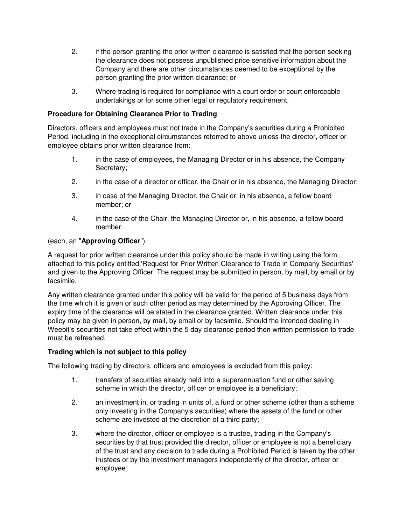- 2. if the person granting the prior written clearance is satisfied that the person seeking the clearance does not possess unpublished price sensitive information about the Company and there are other circumstances deemed to be exceptional by the person granting the prior written clearance; or
- 3. Where trading is required for compliance with a court order or court enforceable undertakings or for some other legal or regulatory requirement.

# **Procedure for Obtaining Clearance Prior to Trading**

Directors, officers and employees must not trade in the Company's securities during a Prohibited Period, including in the exceptional circumstances referred to above unless the director, officer or employee obtains prior written clearance from:

- 1. in the case of employees, the Managing Director or in his absence, the Company Secretary;
- 2. in the case of a director or officer, the Chair or in his absence, the Managing Director;
- 3. in case of the Managing Director, the Chair or, in his absence, a fellow board member; or
- 4. in the case of the Chair, the Managing Director or, in his absence, a fellow board member.

#### (each, an "**Approving Officer**").

A request for prior written clearance under this policy should be made in writing using the form attached to this policy entitled 'Request for Prior Written Clearance to Trade in Company Securities' and given to the Approving Officer. The request may be submitted in person, by mail, by email or by facsimile.

Any written clearance granted under this policy will be valid for the period of 5 business days from the time which it is given or such other period as may determined by the Approving Officer. The expiry time of the clearance will be stated in the clearance granted. Written clearance under this policy may be given in person, by mail, by email or by facsimile. Should the intended dealing in Weebit's securities not take effect within the 5 day clearance period then written permission to trade must be refreshed.

# **Trading which is not subject to this policy**

The following trading by directors, officers and employees is excluded from this policy:

- 1. transfers of securities already held into a superannuation fund or other saving scheme in which the director, officer or employee is a beneficiary;
- 2. an investment in, or trading in units of, a fund or other scheme (other than a scheme only investing in the Company's securities) where the assets of the fund or other scheme are invested at the discretion of a third party;
- 3. where the director, officer or employee is a trustee, trading in the Company's securities by that trust provided the director, officer or employee is not a beneficiary of the trust and any decision to trade during a Prohibited Period is taken by the other trustees or by the investment managers independently of the director, officer or employee;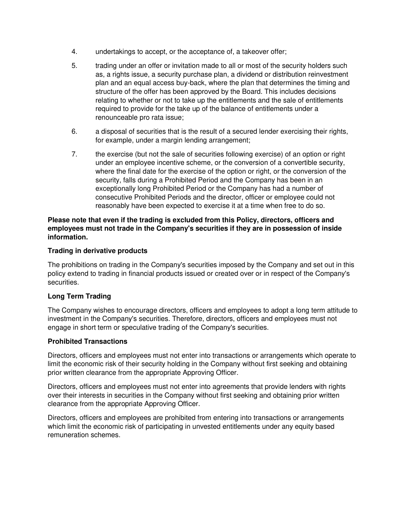- 4. undertakings to accept, or the acceptance of, a takeover offer;
- 5. trading under an offer or invitation made to all or most of the security holders such as, a rights issue, a security purchase plan, a dividend or distribution reinvestment plan and an equal access buy-back, where the plan that determines the timing and structure of the offer has been approved by the Board. This includes decisions relating to whether or not to take up the entitlements and the sale of entitlements required to provide for the take up of the balance of entitlements under a renounceable pro rata issue;
- 6. a disposal of securities that is the result of a secured lender exercising their rights, for example, under a margin lending arrangement;
- 7. the exercise (but not the sale of securities following exercise) of an option or right under an employee incentive scheme, or the conversion of a convertible security, where the final date for the exercise of the option or right, or the conversion of the security, falls during a Prohibited Period and the Company has been in an exceptionally long Prohibited Period or the Company has had a number of consecutive Prohibited Periods and the director, officer or employee could not reasonably have been expected to exercise it at a time when free to do so.

### **Please note that even if the trading is excluded from this Policy, directors, officers and employees must not trade in the Company's securities if they are in possession of inside information.**

### **Trading in derivative products**

The prohibitions on trading in the Company's securities imposed by the Company and set out in this policy extend to trading in financial products issued or created over or in respect of the Company's securities.

#### **Long Term Trading**

The Company wishes to encourage directors, officers and employees to adopt a long term attitude to investment in the Company's securities. Therefore, directors, officers and employees must not engage in short term or speculative trading of the Company's securities.

#### **Prohibited Transactions**

Directors, officers and employees must not enter into transactions or arrangements which operate to limit the economic risk of their security holding in the Company without first seeking and obtaining prior written clearance from the appropriate Approving Officer.

Directors, officers and employees must not enter into agreements that provide lenders with rights over their interests in securities in the Company without first seeking and obtaining prior written clearance from the appropriate Approving Officer.

Directors, officers and employees are prohibited from entering into transactions or arrangements which limit the economic risk of participating in unvested entitlements under any equity based remuneration schemes.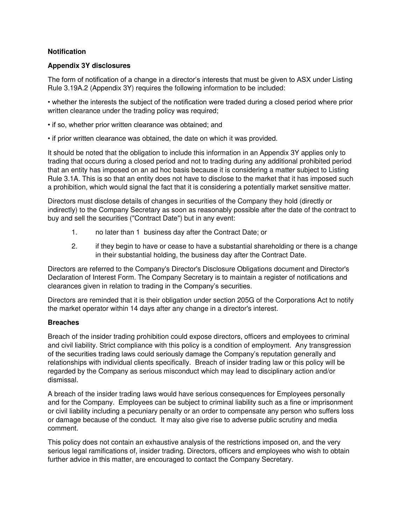# **Notification**

#### **Appendix 3Y disclosures**

The form of notification of a change in a director's interests that must be given to ASX under Listing Rule 3.19A.2 (Appendix 3Y) requires the following information to be included:

• whether the interests the subject of the notification were traded during a closed period where prior written clearance under the trading policy was required;

- if so, whether prior written clearance was obtained; and
- if prior written clearance was obtained, the date on which it was provided.

It should be noted that the obligation to include this information in an Appendix 3Y applies only to trading that occurs during a closed period and not to trading during any additional prohibited period that an entity has imposed on an ad hoc basis because it is considering a matter subject to Listing Rule 3.1A. This is so that an entity does not have to disclose to the market that it has imposed such a prohibition, which would signal the fact that it is considering a potentially market sensitive matter.

Directors must disclose details of changes in securities of the Company they hold (directly or indirectly) to the Company Secretary as soon as reasonably possible after the date of the contract to buy and sell the securities ("Contract Date") but in any event:

- 1. no later than 1 business day after the Contract Date; or
- 2. if they begin to have or cease to have a substantial shareholding or there is a change in their substantial holding, the business day after the Contract Date.

Directors are referred to the Company's Director's Disclosure Obligations document and Director's Declaration of Interest Form. The Company Secretary is to maintain a register of notifications and clearances given in relation to trading in the Company's securities.

Directors are reminded that it is their obligation under section 205G of the Corporations Act to notify the market operator within 14 days after any change in a director's interest.

# **Breaches**

Breach of the insider trading prohibition could expose directors, officers and employees to criminal and civil liability. Strict compliance with this policy is a condition of employment. Any transgression of the securities trading laws could seriously damage the Company's reputation generally and relationships with individual clients specifically. Breach of insider trading law or this policy will be regarded by the Company as serious misconduct which may lead to disciplinary action and/or dismissal.

A breach of the insider trading laws would have serious consequences for Employees personally and for the Company. Employees can be subject to criminal liability such as a fine or imprisonment or civil liability including a pecuniary penalty or an order to compensate any person who suffers loss or damage because of the conduct. It may also give rise to adverse public scrutiny and media comment.

This policy does not contain an exhaustive analysis of the restrictions imposed on, and the very serious legal ramifications of, insider trading. Directors, officers and employees who wish to obtain further advice in this matter, are encouraged to contact the Company Secretary.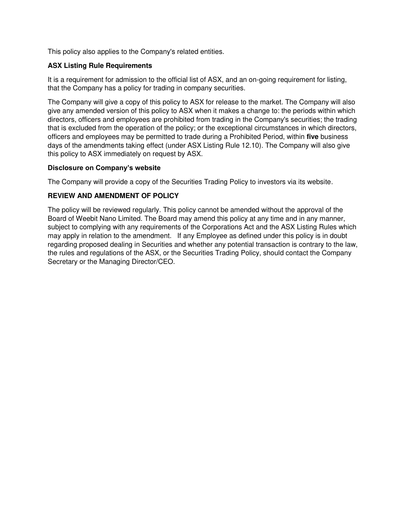This policy also applies to the Company's related entities.

# **ASX Listing Rule Requirements**

It is a requirement for admission to the official list of ASX, and an on-going requirement for listing, that the Company has a policy for trading in company securities.

The Company will give a copy of this policy to ASX for release to the market. The Company will also give any amended version of this policy to ASX when it makes a change to: the periods within which directors, officers and employees are prohibited from trading in the Company's securities; the trading that is excluded from the operation of the policy; or the exceptional circumstances in which directors, officers and employees may be permitted to trade during a Prohibited Period, within **five** business days of the amendments taking effect (under ASX Listing Rule 12.10). The Company will also give this policy to ASX immediately on request by ASX.

# **Disclosure on Company's website**

The Company will provide a copy of the Securities Trading Policy to investors via its website.

# **REVIEW AND AMENDMENT OF POLICY**

The policy will be reviewed regularly. This policy cannot be amended without the approval of the Board of Weebit Nano Limited. The Board may amend this policy at any time and in any manner, subject to complying with any requirements of the Corporations Act and the ASX Listing Rules which may apply in relation to the amendment. If any Employee as defined under this policy is in doubt regarding proposed dealing in Securities and whether any potential transaction is contrary to the law, the rules and regulations of the ASX, or the Securities Trading Policy, should contact the Company Secretary or the Managing Director/CEO.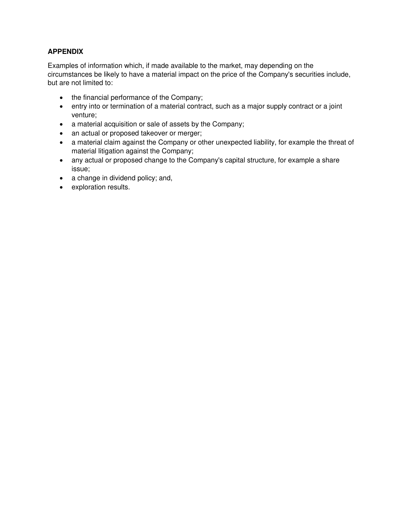# **APPENDIX**

Examples of information which, if made available to the market, may depending on the circumstances be likely to have a material impact on the price of the Company's securities include, but are not limited to:

- the financial performance of the Company;
- entry into or termination of a material contract, such as a major supply contract or a joint venture;
- a material acquisition or sale of assets by the Company;
- an actual or proposed takeover or merger;
- a material claim against the Company or other unexpected liability, for example the threat of material litigation against the Company;
- any actual or proposed change to the Company's capital structure, for example a share issue;
- a change in dividend policy; and,
- exploration results.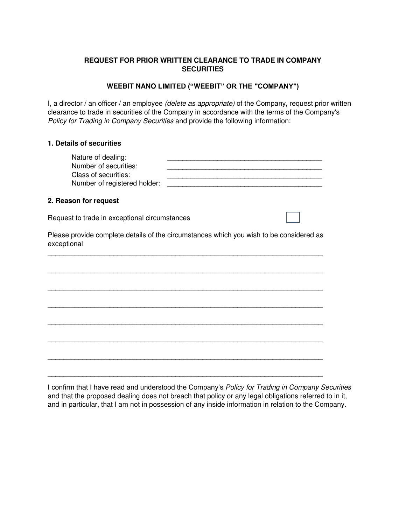# **REQUEST FOR PRIOR WRITTEN CLEARANCE TO TRADE IN COMPANY SECURITIES**

### **WEEBIT NANO LIMITED ("WEEBIT" OR THE "COMPANY")**

I, a director / an officer / an employee (delete as appropriate) of the Company, request prior written clearance to trade in securities of the Company in accordance with the terms of the Company's Policy for Trading in Company Securities and provide the following information:

### **1. Details of securities**

| Nature of dealing:<br>Number of securities:<br>Class of securities:<br>Number of registered holder: |                                                                                         |
|-----------------------------------------------------------------------------------------------------|-----------------------------------------------------------------------------------------|
| 2. Reason for request                                                                               |                                                                                         |
| Request to trade in exceptional circumstances                                                       |                                                                                         |
| exceptional                                                                                         | Please provide complete details of the circumstances which you wish to be considered as |
|                                                                                                     |                                                                                         |
|                                                                                                     |                                                                                         |
|                                                                                                     |                                                                                         |
|                                                                                                     |                                                                                         |
|                                                                                                     |                                                                                         |
|                                                                                                     |                                                                                         |
|                                                                                                     |                                                                                         |

I confirm that I have read and understood the Company's Policy for Trading in Company Securities and that the proposed dealing does not breach that policy or any legal obligations referred to in it, and in particular, that I am not in possession of any inside information in relation to the Company.